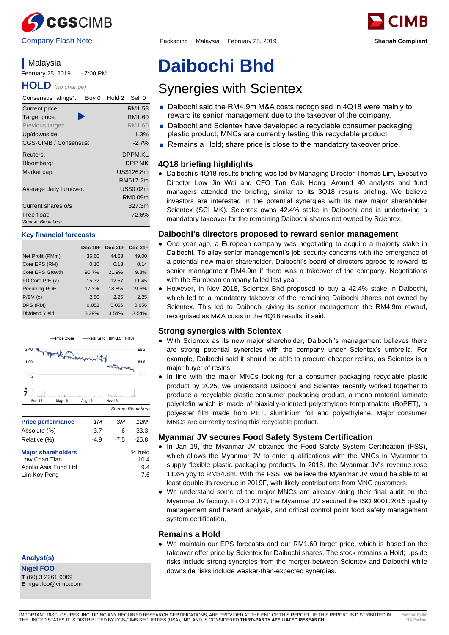

# **Malaysia** February 25, 2019 - 7:00 PM

**HOLD** *(no change)*

| Consensus ratings*:     | Buy 0 | Hold 2 | Sell 0     |
|-------------------------|-------|--------|------------|
| Current price:          |       |        | RM1.58     |
| Target price:           |       |        | RM1.60     |
| Previous target:        |       |        | RM1.60     |
| Up/downside:            |       |        | 1.3%       |
| CGS-CIMB / Consensus:   |       |        | $-2.7%$    |
| Reuters:                |       |        | DPPM.KL    |
| Bloomberg:              |       |        | DPP MK     |
| Market cap:             |       |        | US\$126.8m |
|                         |       |        | RM517.2m   |
| Average daily turnover: |       |        | US\$0.02m  |
|                         |       |        | RM0.09m    |
| Current shares o/s      |       |        | 327.3m     |
| Free float:             |       |        | 72.6%      |
| *Source: Bloomberg      |       |        |            |

#### **Key financial forecasts**

|                      | Dec-19F | Dec-20F Dec-21F |       |
|----------------------|---------|-----------------|-------|
| Net Profit (RMm)     | 36.60   | 44.63           | 49.00 |
| Core EPS (RM)        | 0.10    | 0.13            | 0.14  |
| Core EPS Growth      | 90.7%   | 21.9%           | 9.8%  |
| FD Core $P/E(x)$     | 15.32   | 12.57           | 11.45 |
| <b>Recurring ROE</b> | 17.3%   | 18.8%           | 19.6% |
| P/BV(x)              | 2.50    | 2.25            | 2.25  |
| DPS (RM)             | 0.052   | 0.056           | 0.056 |
| Dividend Yield       | 3.29%   | 3.54%           | 3.54% |
|                      |         |                 |       |



# **Analyst(s)**

**Nigel FOO T** (60) 3 2261 9069

# **Daibochi Bhd**

# Synergies with Scientex

- Daibochi said the RM4.9m M&A costs recognised in 4Q18 were mainly to reward its senior management due to the takeover of the company.
- Daibochi and Scientex have developed a recyclable consumer packaging plastic product; MNCs are currently testing this recyclable product.
- Remains a Hold; share price is close to the mandatory takeover price.

# **4Q18 briefing highlights**

● Daibochi's 4Q18 results briefing was led by Managing Director Thomas Lim, Executive Director Low Jin Wei and CFO Tan Gaik Hong. Around 40 analysts and fund managers attended the briefing, similar to its 3Q18 results briefing. We believe investors are interested in the potential synergies with its new major shareholder Scientex (SCI MK). Scientex owns 42.4% stake in Daibochi and is undertaking a mandatory takeover for the remaining Daibochi shares not owned by Scientex.

# **Daibochi's directors proposed to reward senior management**

- One year ago, a European company was negotiating to acquire a majority stake in Daibochi. To allay senior management's job security concerns with the emergence of a potential new major shareholder, Daibochi's board of directors agreed to reward its senior management RM4.9m if there was a takeover of the company. Negotiations with the European company failed last year.
- However, in Nov 2018, Scientex Bhd proposed to buy a 42.4% stake in Daibochi, which led to a mandatory takeover of the remaining Daibochi shares not owned by Scientex. This led to Daibochi giving its senior management the RM4.9m reward, recognised as M&A costs in the 4Q18 results, it said.

# **Strong synergies with Scientex**

- With Scientex as its new major shareholder, Daibochi's management believes there are strong potential synergies with the company under Scientex's umbrella. For example, Daibochi said it should be able to procure cheaper resins, as Scientex is a major buyer of resins.
- In line with the major MNCs looking for a consumer packaging recyclable plastic product by 2025, we understand Daibochi and Scientex recently worked together to produce a recyclable plastic consumer packaging product, a mono material laminate polyolefin which is made of biaxially-oriented polyethylene terephthalate (BoPET), a polyester film made from PET, aluminium foil and polyethylene. Major consumer MNCs are currently testing this recyclable product.

# **Myanmar JV secures Food Safety System Certification**

- In Jan 19, the Myanmar JV obtained the Food Safety System Certification (FSS), which allows the Myanmar JV to enter qualifications with the MNCs in Myanmar to supply flexible plastic packaging products. In 2018, the Myanmar JV's revenue rose 113% yoy to RM34.8m. With the FSS, we believe the Myanmar JV would be able to at least double its revenue in 2019F, with likely contributions from MNC customers.
- We understand some of the major MNCs are already doing their final audit on the Myanmar JV factory. In Oct 2017, the Myanmar JV secured the ISO 9001:2015 quality management and hazard analysis, and critical control point food safety management system certification.

# **Remains a Hold**

● We maintain our EPS forecasts and our RM1.60 target price, which is based on the takeover offer price by Scientex for Daibochi shares. The stock remains a Hold; upside risks include strong synergies from the merger between Scientex and Daibochi while downside risks include weaker-than-expected synergies.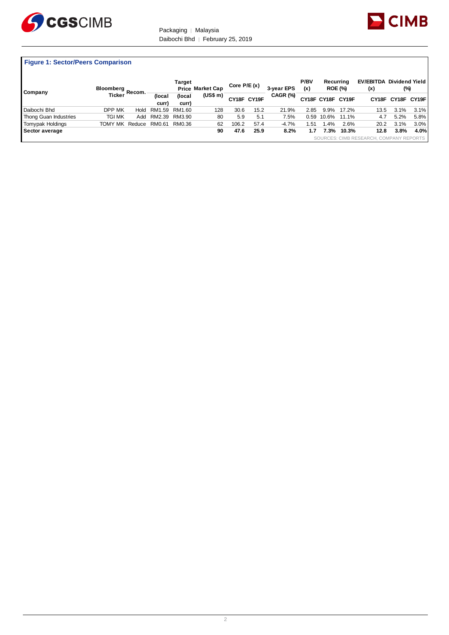



# **Figure 1: Sector/Peers Comparison**

| Company               | Bloomberg Recom. — |        |                 | Target          | <b>Price Market Cap</b> | Core $P/E(x)$ |             | 3-year EPS | P/BV<br>(x) |        | Recurrina<br><b>ROE (%)</b> | <b>EV/EBITDA Dividend Yield</b><br>(x)  | (%)  |                   |
|-----------------------|--------------------|--------|-----------------|-----------------|-------------------------|---------------|-------------|------------|-------------|--------|-----------------------------|-----------------------------------------|------|-------------------|
|                       | <b>Ticker</b>      |        | (local<br>curr) | (local<br>curr) | (US\$ m)                |               | CY18F CY19F | CAGR (%)   |             |        | CY18F CY18F CY19F           |                                         |      | CY18F CY18F CY19F |
| Daibochi Bhd          | DPP MK             | Hold   | RM1.59 RM1.60   |                 | 128                     | 30.6          | 15.2        | 21.9%      | 2.85        | 9.9%   | 17.2%                       | 13.5                                    | 3.1% | 3.1%              |
| Thong Guan Industries | tgi mk             | Add    | RM2.39 RM3.90   |                 | 80                      | 5.9           | 5.1         | 7.5%       | 0.59        | 10.6%  | 11.1%                       | 4.7                                     | 5.2% | 5.8%              |
| Tomypak Holdings      | TOMY MK            | Reduce | RM0.61          | RM0.36          | 62                      | 106.2         | 57.4        | $-4.7%$    | .51         | $.4\%$ | 2.6%                        | 20.2                                    | 3.1% | 3.0%              |
| Sector average        |                    |        |                 |                 | 90                      | 47.6          | 25.9        | 8.2%       | 1.7         | 7.3%   | 10.3%                       | 12.8                                    | 3.8% | 4.0%              |
|                       |                    |        |                 |                 |                         |               |             |            |             |        |                             | SOURCES: CIMB RESEARCH, COMPANY REPORTS |      |                   |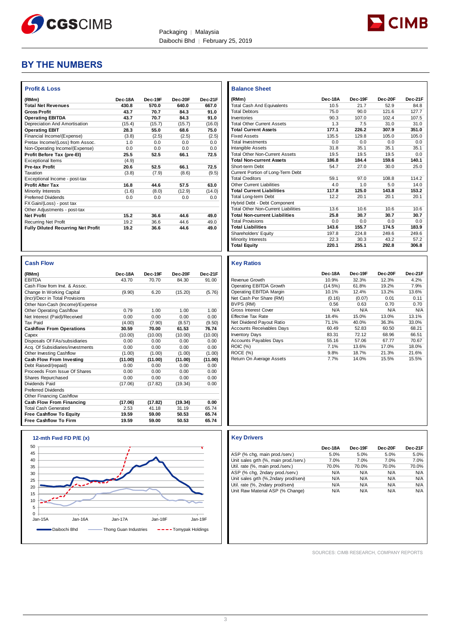



# **BY THE NUMBERS**

| (RMm)                                     | Dec-18A | Dec-19F | Dec-20F | Dec-21F |
|-------------------------------------------|---------|---------|---------|---------|
| <b>Total Net Revenues</b>                 | 430.8   | 570.0   | 640.0   | 667.0   |
| <b>Gross Profit</b>                       | 43.7    | 70.7    | 84.3    | 91.0    |
| <b>Operating EBITDA</b>                   | 43.7    | 70.7    | 84.3    | 91.0    |
| Depreciation And Amortisation             | (15.4)  | (15.7)  | (15.7)  | (16.0)  |
| <b>Operating EBIT</b>                     | 28.3    | 55.0    | 68.6    | 75.0    |
| Financial Income/(Expense)                | (3.8)   | (2.5)   | (2.5)   | (2.5)   |
| Pretax Income/(Loss) from Assoc.          | 1.0     | 0.0     | 0.0     | 0.0     |
| Non-Operating Income/(Expense)            | 0.0     | 0.0     | 0.0     | 0.0     |
| Profit Before Tax (pre-El)                | 25.5    | 52.5    | 66.1    | 72.5    |
| <b>Exceptional Items</b>                  | (4.9)   |         |         |         |
| <b>Pre-tax Profit</b>                     | 20.6    | 52.5    | 66.1    | 72.5    |
| Taxation                                  | (3.8)   | (7.9)   | (8.6)   | (9.5)   |
| Exceptional Income - post-tax             |         |         |         |         |
| <b>Profit After Tax</b>                   | 16.8    | 44.6    | 57.5    | 63.0    |
| Minority Interests                        | (1.6)   | (8.0)   | (12.9)  | (14.0)  |
| <b>Preferred Dividends</b>                | 0.0     | 0.0     | 0.0     | 0.0     |
| FX Gain/(Loss) - post tax                 |         |         |         |         |
| Other Adjustments - post-tax              |         |         |         |         |
| <b>Net Profit</b>                         | 15.2    | 36.6    | 44.6    | 49.0    |
| <b>Recurring Net Profit</b>               | 19.2    | 36.6    | 44.6    | 49.0    |
| <b>Fully Diluted Recurring Net Profit</b> | 19.2    | 36.6    | 44.6    | 49.0    |

| <b>Cash Flow</b>                 |         |         |         |         |
|----------------------------------|---------|---------|---------|---------|
| (RMm)                            | Dec-18A | Dec-19F | Dec-20F | Dec-21F |
| <b>EBITDA</b>                    | 43.70   | 70.70   | 84.30   | 91.00   |
| Cash Flow from Invt & Assoc      |         |         |         |         |
| Change In Working Capital        | (9.90)  | 6.20    | (15.20) | (5.76)  |
| (Incr)/Decr in Total Provisions  |         |         |         |         |
| Other Non-Cash (Income)/Expense  |         |         |         |         |
| Other Operating Cashflow         | 0.79    | 1.00    | 1.00    | 1.00    |
| Net Interest (Paid)/Received     | 0.00    | 0.00    | 0.00    | 0.00    |
| <b>Tax Paid</b>                  | (4.00)  | (7.90)  | (8.57)  | (9.50)  |
| <b>Cashflow From Operations</b>  | 30.59   | 70.00   | 61.53   | 76.74   |
| Capex                            | (10.00) | (10.00) | (10.00) | (10.00) |
| Disposals Of FAs/subsidiaries    | 0.00    | 0.00    | 0.00    | 0.00    |
| Acq. Of Subsidiaries/investments | 0.00    | 0.00    | 0.00    | 0.00    |
| Other Investing Cashflow         | (1.00)  | (1.00)  | (1.00)  | (1.00)  |
| Cash Flow From Investing         | (11.00) | (11.00) | (11.00) | (11.00) |
| Debt Raised/(repaid)             | 0.00    | 0.00    | 0.00    | 0.00    |
| Proceeds From Issue Of Shares    | 0.00    | 0.00    | 0.00    | 0.00    |
| Shares Repurchased               | 0.00    | 0.00    | 0.00    | 0.00    |
| Dividends Paid                   | (17.06) | (17.82) | (19.34) | 0.00    |
| <b>Preferred Dividends</b>       |         |         |         |         |
| Other Financing Cashflow         |         |         |         |         |
| <b>Cash Flow From Financing</b>  | (17.06) | (17.82) | (19.34) | 0.00    |
| <b>Total Cash Generated</b>      | 2.53    | 41.18   | 31.19   | 65.74   |
| <b>Free Cashflow To Equity</b>   | 19.59   | 59.00   | 50.53   | 65.74   |
| <b>Free Cashflow To Firm</b>     | 19.59   | 59.00   | 50.53   | 65.74   |

| ee Cashflow To Firm |                         | 19.59                 | 59.00   | 50.53               | 65.74   |
|---------------------|-------------------------|-----------------------|---------|---------------------|---------|
|                     | 12-mth Fwd FD P/E $(x)$ |                       |         |                     |         |
| 50                  |                         |                       |         |                     |         |
| 45                  |                         |                       |         |                     |         |
| 40                  |                         |                       |         |                     |         |
| 35                  |                         |                       |         |                     |         |
| 30                  |                         |                       |         |                     |         |
| 25                  |                         |                       |         |                     |         |
| 20                  |                         |                       |         |                     |         |
| 15                  |                         |                       |         |                     |         |
| 10                  |                         |                       |         |                     |         |
| 5                   |                         |                       |         |                     |         |
| $\Omega$            |                         |                       |         |                     |         |
| Jan-15A             | Jan-16A                 | Jan-17A               | Jan-18F |                     | Jan-19F |
|                     | Daibochi Bhd            | Thong Guan Industries |         | ---Tomypak Holdings |         |
|                     |                         |                       |         |                     |         |

| <b>Balance Sheet</b>                       |         |         |         |         |
|--------------------------------------------|---------|---------|---------|---------|
| (RMm)                                      | Dec-18A | Dec-19F | Dec-20F | Dec-21F |
| Total Cash And Equivalents                 | 10.5    | 21.7    | 52.9    | 84.8    |
| <b>Total Debtors</b>                       | 75.0    | 90.0    | 121.6   | 127.7   |
| Inventories                                | 90.3    | 107.0   | 102.4   | 107.5   |
| <b>Total Other Current Assets</b>          | 1.3     | 7.5     | 31.0    | 31.0    |
| <b>Total Current Assets</b>                | 177.1   | 226.2   | 307.9   | 351.0   |
| <b>Fixed Assets</b>                        | 135.5   | 129.8   | 105.0   | 105.0   |
| <b>Total Investments</b>                   | 0.0     | 0.0     | 0.0     | 0.0     |
| Intangible Assets                          | 31.8    | 35.1    | 35.1    | 35.1    |
| <b>Total Other Non-Current Assets</b>      | 19.5    | 19.5    | 19.5    | 0.0     |
| <b>Total Non-current Assets</b>            | 186.8   | 184.4   | 159.6   | 140.1   |
| Short-term Debt                            | 54.7    | 27.0    | 30.0    | 25.0    |
| Current Portion of Long-Term Debt          |         |         |         |         |
| <b>Total Creditors</b>                     | 59.1    | 97.0    | 108.8   | 114.2   |
| <b>Other Current Liabilities</b>           | 4.0     | 1.0     | 5.0     | 14.0    |
| <b>Total Current Liabilities</b>           | 117.8   | 125.0   | 143.8   | 153.2   |
| <b>Total Long-term Debt</b>                | 12.2    | 20.1    | 20.1    | 20.1    |
| Hybrid Debt - Debt Component               |         |         |         |         |
| <b>Total Other Non-Current Liabilities</b> | 13.6    | 10.6    | 10.6    | 10.6    |
| <b>Total Non-current Liabilities</b>       | 25.8    | 30.7    | 30.7    | 30.7    |
| <b>Total Provisions</b>                    | 0.0     | 0.0     | 0.0     | 0.0     |
| <b>Total Liabilities</b>                   | 143.6   | 155.7   | 174.5   | 183.9   |
| <b>Shareholders' Equity</b>                | 197.8   | 224.8   | 249.6   | 249.6   |
| <b>Minority Interests</b>                  | 22.3    | 30.3    | 43.2    | 57.2    |
| <b>Total Equity</b>                        | 220.1   | 255.1   | 292.8   | 306.8   |

#### **Key Ratios**

| . <del>.</del>                   |         |         |         |         |
|----------------------------------|---------|---------|---------|---------|
|                                  | Dec-18A | Dec-19F | Dec-20F | Dec-21F |
| Revenue Growth                   | 10.9%   | 32.3%   | 12.3%   | 4.2%    |
| Operating EBITDA Growth          | (14.5%) | 61.8%   | 19.2%   | 7.9%    |
| Operating EBITDA Margin          | 10.1%   | 12.4%   | 13.2%   | 13.6%   |
| Net Cash Per Share (RM)          | (0.16)  | (0.07)  | 0.01    | 0.11    |
| BVPS (RM)                        | 0.56    | 0.63    | 0.70    | 0.70    |
| <b>Gross Interest Cover</b>      | N/A     | N/A     | N/A     | N/A     |
| <b>Effective Tax Rate</b>        | 18.4%   | 15.0%   | 13.0%   | 13.1%   |
| Net Dividend Payout Ratio        | 71.1%   | 40.0%   | 36.3%   | 33.0%   |
| <b>Accounts Receivables Days</b> | 60.49   | 52.83   | 60.50   | 68.21   |
| <b>Inventory Days</b>            | 83.31   | 72.12   | 68.96   | 66.51   |
| <b>Accounts Payables Days</b>    | 55.16   | 57.06   | 67.77   | 70.67   |
| <b>ROIC (%)</b>                  | 7.1%    | 13.6%   | 17.0%   | 18.0%   |
| ROCE (%)                         | 9.8%    | 18.7%   | 21.3%   | 21.6%   |
| Return On Average Assets         | 7.7%    | 14.0%   | 15.5%   | 15.5%   |

# **Key Drivers**

|                                       | Dec-18A | Dec-19F | Dec-20F | Dec-21F |
|---------------------------------------|---------|---------|---------|---------|
| ASP (% chg, main prod./serv.)         | 5.0%    | 5.0%    | 5.0%    | 5.0%    |
| Unit sales grth (%, main prod./serv.) | 7.0%    | 7.0%    | 7.0%    | 7.0%    |
| Util. rate (%, main prod./serv.)      | 70.0%   | 70.0%   | 70.0%   | 70.0%   |
| ASP (% chg, 2ndary prod./serv.)       | N/A     | N/A     | N/A     | N/A     |
| Unit sales grth (%,2ndary prod/serv)  | N/A     | N/A     | N/A     | N/A     |
| Util. rate (%, 2ndary prod/serv)      | N/A     | N/A     | N/A     | N/A     |
| Unit Raw Material ASP (% Change)      | N/A     | N/A     | N/A     | N/A     |

SOURCES: CIMB RESEARCH, COMPANY REPORTS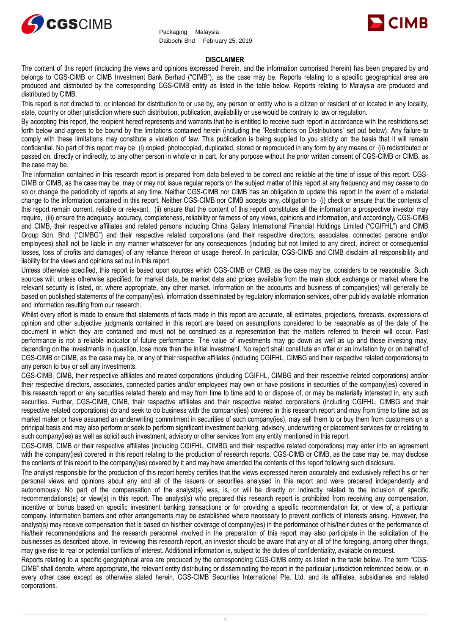



# **DISCLAIMER**

The content of this report (including the views and opinions expressed therein, and the information comprised therein) has been prepared by and belongs to CGS-CIMB or CIMB Investment Bank Berhad ("CIMB"), as the case may be. Reports relating to a specific geographical area are produced and distributed by the corresponding CGS-CIMB entity as listed in the table below. Reports relating to Malaysia are produced and distributed by CIMB.

This report is not directed to, or intended for distribution to or use by, any person or entity who is a citizen or resident of or located in any locality, state, country or other jurisdiction where such distribution, publication, availability or use would be contrary to law or regulation.

By accepting this report, the recipient hereof represents and warrants that he is entitled to receive such report in accordance with the restrictions set forth below and agrees to be bound by the limitations contained herein (including the "Restrictions on Distributions" set out below). Any failure to comply with these limitations may constitute a violation of law. This publication is being supplied to you strictly on the basis that it will remain confidential. No part of this report may be (i) copied, photocopied, duplicated, stored or reproduced in any form by any means or (ii) redistributed or passed on, directly or indirectly, to any other person in whole or in part, for any purpose without the prior written consent of CGS-CIMB or CIMB, as the case may be.

The information contained in this research report is prepared from data believed to be correct and reliable at the time of issue of this report. CGS-CIMB or CIMB, as the case may be, may or may not issue regular reports on the subject matter of this report at any frequency and may cease to do so or change the periodicity of reports at any time. Neither CGS-CIMB nor CIMB has an obligation to update this report in the event of a material change to the information contained in this report. Neither CGS-CIMB nor CIMB accepts any, obligation to (i) check or ensure that the contents of this report remain current, reliable or relevant, (ii) ensure that the content of this report constitutes all the information a prospective investor may require, (iii) ensure the adequacy, accuracy, completeness, reliability or fairness of any views, opinions and information, and accordingly, CGS-CIMB and CIMB, their respective affiliates and related persons including China Galaxy International Financial Holdings Limited ("CGIFHL") and CIMB Group Sdn. Bhd. ("CIMBG") and their respective related corporations (and their respective directors, associates, connected persons and/or employees) shall not be liable in any manner whatsoever for any consequences (including but not limited to any direct, indirect or consequential losses, loss of profits and damages) of any reliance thereon or usage thereof. In particular, CGS-CIMB and CIMB disclaim all responsibility and liability for the views and opinions set out in this report.

Unless otherwise specified, this report is based upon sources which CGS-CIMB or CIMB, as the case may be, considers to be reasonable. Such sources will, unless otherwise specified, for market data, be market data and prices available from the main stock exchange or market where the relevant security is listed, or, where appropriate, any other market. Information on the accounts and business of company(ies) will generally be based on published statements of the company(ies), information disseminated by regulatory information services, other publicly available information and information resulting from our research.

Whilst every effort is made to ensure that statements of facts made in this report are accurate, all estimates, projections, forecasts, expressions of opinion and other subjective judgments contained in this report are based on assumptions considered to be reasonable as of the date of the document in which they are contained and must not be construed as a representation that the matters referred to therein will occur. Past performance is not a reliable indicator of future performance. The value of investments may go down as well as up and those investing may, depending on the investments in question, lose more than the initial investment. No report shall constitute an offer or an invitation by or on behalf of CGS-CIMB or CIMB, as the case may be, or any of their respective affiliates (including CGIFHL, CIMBG and their respective related corporations) to any person to buy or sell any investments.

CGS-CIMB, CIMB, their respective affiliates and related corporations (including CGIFHL, CIMBG and their respective related corporations) and/or their respective directors, associates, connected parties and/or employees may own or have positions in securities of the company(ies) covered in this research report or any securities related thereto and may from time to time add to or dispose of, or may be materially interested in, any such securities. Further, CGS-CIMB, CIMB, their respective affiliates and their respective related corporations (including CGIFHL, CIMBG and their respective related corporations) do and seek to do business with the company(ies) covered in this research report and may from time to time act as market maker or have assumed an underwriting commitment in securities of such company(ies), may sell them to or buy them from customers on a principal basis and may also perform or seek to perform significant investment banking, advisory, underwriting or placement services for or relating to such company(ies) as well as solicit such investment, advisory or other services from any entity mentioned in this report.

CGS-CIMB, CIMB or their respective affiliates (including CGIFHL, CIMBG and their respective related corporations) may enter into an agreement with the company(ies) covered in this report relating to the production of research reports. CGS-CIMB or CIMB, as the case may be, may disclose the contents of this report to the company(ies) covered by it and may have amended the contents of this report following such disclosure.

The analyst responsible for the production of this report hereby certifies that the views expressed herein accurately and exclusively reflect his or her personal views and opinions about any and all of the issuers or securities analysed in this report and were prepared independently and autonomously. No part of the compensation of the analyst(s) was, is, or will be directly or indirectly related to the inclusion of specific recommendations(s) or view(s) in this report. The analyst(s) who prepared this research report is prohibited from receiving any compensation, incentive or bonus based on specific investment banking transactions or for providing a specific recommendation for, or view of, a particular company. Information barriers and other arrangements may be established where necessary to prevent conflicts of interests arising. However, the analyst(s) may receive compensation that is based on his/their coverage of company(ies) in the performance of his/their duties or the performance of his/their recommendations and the research personnel involved in the preparation of this report may also participate in the solicitation of the businesses as described above. In reviewing this research report, an investor should be aware that any or all of the foregoing, among other things, may give rise to real or potential conflicts of interest. Additional information is, subject to the duties of confidentiality, available on request.

Reports relating to a specific geographical area are produced by the corresponding CGS-CIMB entity as listed in the table below. The term "CGS-CIMB" shall denote, where appropriate, the relevant entity distributing or disseminating the report in the particular jurisdiction referenced below, or, in every other case except as otherwise stated herein, CGS-CIMB Securities International Pte. Ltd. and its affiliates, subsidiaries and related corporations.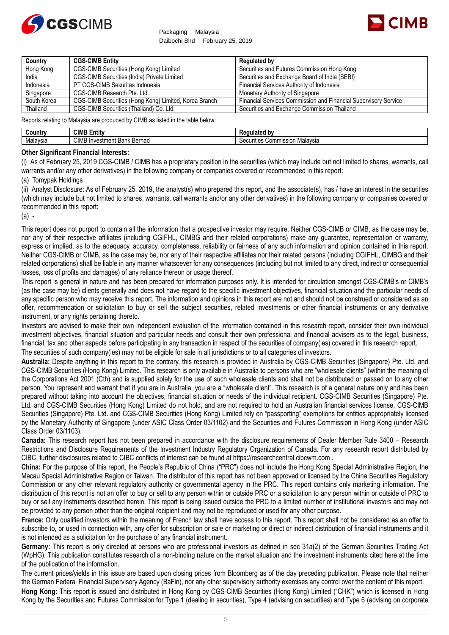



| Country     | <b>CGS-CIMB Entity</b>                                | <b>Regulated by</b>                                                    |
|-------------|-------------------------------------------------------|------------------------------------------------------------------------|
| Hong Kong   | CGS-CIMB Securities (Hong Kong) Limited               | Securities and Futures Commission Hong Kong                            |
| India       | CGS-CIMB Securities (India) Private Limited           | Securities and Exchange Board of India (SEBI)                          |
| Indonesia   | PT CGS-CIMB Sekuritas Indonesia                       | Financial Services Authority of Indonesia                              |
| Singapore   | CGS-CIMB Research Pte. Ltd.                           | Monetary Authority of Singapore                                        |
| South Korea | CGS-CIMB Securities (Hong Kong) Limited, Korea Branch | <b>Financial Services Commission and Financial Supervisory Service</b> |
| Thailand    | CGS-CIMB Securities (Thailand) Co. Ltd.               | Securities and Exchange Commission Thailand                            |

Reports relating to Malaysia are produced by CIMB as listed in the table below:

| سountr∨         | -<br><b>CIMB</b><br>Entitv            | ີ*^d bv<br><sup>JANI</sup> I.<br>патео           |
|-----------------|---------------------------------------|--------------------------------------------------|
| . .<br>Malaysia | <b>CIMB</b><br>Investment Bank Berhad | ommission<br>Malavsia<br><i>s</i> ecurities<br>w |

# **Other Significant Financial Interests:**

(i) As of February 25, 2019 CGS-CIMB / CIMB has a proprietary position in the securities (which may include but not limited to shares, warrants, call warrants and/or any other derivatives) in the following company or companies covered or recommended in this report:

# (a) Tomypak Holdings

(ii) Analyst Disclosure: As of February 25, 2019, the analyst(s) who prepared this report, and the associate(s), has / have an interest in the securities (which may include but not limited to shares, warrants, call warrants and/or any other derivatives) in the following company or companies covered or recommended in this report:

(a) -

This report does not purport to contain all the information that a prospective investor may require. Neither CGS-CIMB or CIMB, as the case may be, nor any of their respective affiliates (including CGIFHL, CIMBG and their related corporations) make any guarantee, representation or warranty, express or implied, as to the adequacy, accuracy, completeness, reliability or fairness of any such information and opinion contained in this report. Neither CGS-CIMB or CIMB, as the case may be, nor any of their respective affiliates nor their related persons (including CGIFHL, CIMBG and their related corporations) shall be liable in any manner whatsoever for any consequences (including but not limited to any direct, indirect or consequential losses, loss of profits and damages) of any reliance thereon or usage thereof.

This report is general in nature and has been prepared for information purposes only. It is intended for circulation amongst CGS-CIMB's or CIMB's (as the case may be) clients generally and does not have regard to the specific investment objectives, financial situation and the particular needs of any specific person who may receive this report. The information and opinions in this report are not and should not be construed or considered as an offer, recommendation or solicitation to buy or sell the subject securities, related investments or other financial instruments or any derivative instrument, or any rights pertaining thereto.

Investors are advised to make their own independent evaluation of the information contained in this research report, consider their own individual investment objectives, financial situation and particular needs and consult their own professional and financial advisers as to the legal, business, financial, tax and other aspects before participating in any transaction in respect of the securities of company(ies) covered in this research report. The securities of such company(ies) may not be eligible for sale in all jurisdictions or to all categories of investors.

**Australia:** Despite anything in this report to the contrary, this research is provided in Australia by CGS-CIMB Securities (Singapore) Pte. Ltd. and CGS-CIMB Securities (Hong Kong) Limited. This research is only available in Australia to persons who are "wholesale clients" (within the meaning of the Corporations Act 2001 (Cth) and is supplied solely for the use of such wholesale clients and shall not be distributed or passed on to any other person. You represent and warrant that if you are in Australia, you are a "wholesale client". This research is of a general nature only and has been prepared without taking into account the objectives, financial situation or needs of the individual recipient. CGS-CIMB Securities (Singapore) Pte. Ltd. and CGS-CIMB Securities (Hong Kong) Limited do not hold, and are not required to hold an Australian financial services license. CGS-CIMB Securities (Singapore) Pte. Ltd. and CGS-CIMB Securities (Hong Kong) Limited rely on "passporting" exemptions for entities appropriately licensed by the Monetary Authority of Singapore (under ASIC Class Order 03/1102) and the Securities and Futures Commission in Hong Kong (under ASIC Class Order 03/1103).

**Canada:** This research report has not been prepared in accordance with the disclosure requirements of Dealer Member Rule 3400 – Research Restrictions and Disclosure Requirements of the Investment Industry Regulatory Organization of Canada. For any research report distributed by CIBC, further disclosures related to CIBC conflicts of interest can be found at https://researchcentral.cibcwm.com .

**China:** For the purpose of this report, the People's Republic of China ("PRC") does not include the Hong Kong Special Administrative Region, the Macau Special Administrative Region or Taiwan. The distributor of this report has not been approved or licensed by the China Securities Regulatory Commission or any other relevant regulatory authority or governmental agency in the PRC. This report contains only marketing information. The distribution of this report is not an offer to buy or sell to any person within or outside PRC or a solicitation to any person within or outside of PRC to buy or sell any instruments described herein. This report is being issued outside the PRC to a limited number of institutional investors and may not be provided to any person other than the original recipient and may not be reproduced or used for any other purpose.

**France:** Only qualified investors within the meaning of French law shall have access to this report. This report shall not be considered as an offer to subscribe to, or used in connection with, any offer for subscription or sale or marketing or direct or indirect distribution of financial instruments and it is not intended as a solicitation for the purchase of any financial instrument.

**Germany:** This report is only directed at persons who are professional investors as defined in sec 31a(2) of the German Securities Trading Act (WpHG). This publication constitutes research of a non-binding nature on the market situation and the investment instruments cited here at the time of the publication of the information.

The current prices/yields in this issue are based upon closing prices from Bloomberg as of the day preceding publication. Please note that neither the German Federal Financial Supervisory Agency (BaFin), nor any other supervisory authority exercises any control over the content of this report. **Hong Kong:** This report is issued and distributed in Hong Kong by CGS-CIMB Securities (Hong Kong) Limited ("CHK") which is licensed in Hong Kong by the Securities and Futures Commission for Type 1 (dealing in securities), Type 4 (advising on securities) and Type 6 (advising on corporate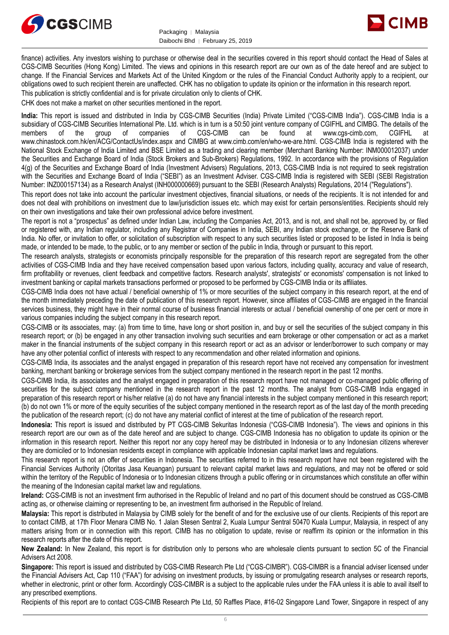



finance) activities. Any investors wishing to purchase or otherwise deal in the securities covered in this report should contact the Head of Sales at CGS-CIMB Securities (Hong Kong) Limited. The views and opinions in this research report are our own as of the date hereof and are subject to change. If the Financial Services and Markets Act of the United Kingdom or the rules of the Financial Conduct Authority apply to a recipient, our obligations owed to such recipient therein are unaffected. CHK has no obligation to update its opinion or the information in this research report. This publication is strictly confidential and is for private circulation only to clients of CHK.

CHK does not make a market on other securities mentioned in the report.

**India:** This report is issued and distributed in India by CGS-CIMB Securities (India) Private Limited ("CGS-CIMB India"). CGS-CIMB India is a subsidiary of CGS-CIMB Securities International Pte. Ltd. which is in turn is a 50:50 joint venture company of CGIFHL and CIMBG. The details of the members of the group of companies of CGS-CIMB can be found at www.cgs-cimb.com, CGIFHL at www.chinastock.com.hk/en/ACG/ContactUs/index.aspx and CIMBG at www.cimb.com/en/who-we-are.html. CGS-CIMB India is registered with the National Stock Exchange of India Limited and BSE Limited as a trading and clearing member (Merchant Banking Number: INM000012037) under the Securities and Exchange Board of India (Stock Brokers and Sub-Brokers) Regulations, 1992. In accordance with the provisions of Regulation 4(g) of the Securities and Exchange Board of India (Investment Advisers) Regulations, 2013, CGS-CIMB India is not required to seek registration with the Securities and Exchange Board of India ("SEBI") as an Investment Adviser. CGS-CIMB India is registered with SEBI (SEBI Registration Number: INZ000157134) as a Research Analyst (INH000000669) pursuant to the SEBI (Research Analysts) Regulations, 2014 ("Regulations").

This report does not take into account the particular investment objectives, financial situations, or needs of the recipients. It is not intended for and does not deal with prohibitions on investment due to law/jurisdiction issues etc. which may exist for certain persons/entities. Recipients should rely on their own investigations and take their own professional advice before investment.

The report is not a "prospectus" as defined under Indian Law, including the Companies Act, 2013, and is not, and shall not be, approved by, or filed or registered with, any Indian regulator, including any Registrar of Companies in India, SEBI, any Indian stock exchange, or the Reserve Bank of India. No offer, or invitation to offer, or solicitation of subscription with respect to any such securities listed or proposed to be listed in India is being made, or intended to be made, to the public, or to any member or section of the public in India, through or pursuant to this report.

The research analysts, strategists or economists principally responsible for the preparation of this research report are segregated from the other activities of CGS-CIMB India and they have received compensation based upon various factors, including quality, accuracy and value of research, firm profitability or revenues, client feedback and competitive factors. Research analysts', strategists' or economists' compensation is not linked to investment banking or capital markets transactions performed or proposed to be performed by CGS-CIMB India or its affiliates.

CGS-CIMB India does not have actual / beneficial ownership of 1% or more securities of the subject company in this research report, at the end of the month immediately preceding the date of publication of this research report. However, since affiliates of CGS-CIMB are engaged in the financial services business, they might have in their normal course of business financial interests or actual / beneficial ownership of one per cent or more in various companies including the subject company in this research report.

CGS-CIMB or its associates, may: (a) from time to time, have long or short position in, and buy or sell the securities of the subject company in this research report; or (b) be engaged in any other transaction involving such securities and earn brokerage or other compensation or act as a market maker in the financial instruments of the subject company in this research report or act as an advisor or lender/borrower to such company or may have any other potential conflict of interests with respect to any recommendation and other related information and opinions.

CGS-CIMB India, its associates and the analyst engaged in preparation of this research report have not received any compensation for investment banking, merchant banking or brokerage services from the subject company mentioned in the research report in the past 12 months.

CGS-CIMB India, its associates and the analyst engaged in preparation of this research report have not managed or co-managed public offering of securities for the subject company mentioned in the research report in the past 12 months. The analyst from CGS-CIMB India engaged in preparation of this research report or his/her relative (a) do not have any financial interests in the subject company mentioned in this research report; (b) do not own 1% or more of the equity securities of the subject company mentioned in the research report as of the last day of the month preceding the publication of the research report; (c) do not have any material conflict of interest at the time of publication of the research report.

**Indonesia:** This report is issued and distributed by PT CGS-CIMB Sekuritas Indonesia ("CGS-CIMB Indonesia"). The views and opinions in this research report are our own as of the date hereof and are subject to change. CGS-CIMB Indonesia has no obligation to update its opinion or the information in this research report. Neither this report nor any copy hereof may be distributed in Indonesia or to any Indonesian citizens wherever they are domiciled or to Indonesian residents except in compliance with applicable Indonesian capital market laws and regulations.

This research report is not an offer of securities in Indonesia. The securities referred to in this research report have not been registered with the Financial Services Authority (Otoritas Jasa Keuangan) pursuant to relevant capital market laws and regulations, and may not be offered or sold within the territory of the Republic of Indonesia or to Indonesian citizens through a public offering or in circumstances which constitute an offer within the meaning of the Indonesian capital market law and regulations.

**Ireland:** CGS-CIMB is not an investment firm authorised in the Republic of Ireland and no part of this document should be construed as CGS-CIMB acting as, or otherwise claiming or representing to be, an investment firm authorised in the Republic of Ireland.

**Malaysia:** This report is distributed in Malaysia by CIMB solely for the benefit of and for the exclusive use of our clients. Recipients of this report are to contact CIMB, at 17th Floor Menara CIMB No. 1 Jalan Stesen Sentral 2, Kuala Lumpur Sentral 50470 Kuala Lumpur, Malaysia, in respect of any matters arising from or in connection with this report. CIMB has no obligation to update, revise or reaffirm its opinion or the information in this research reports after the date of this report.

**New Zealand:** In New Zealand, this report is for distribution only to persons who are wholesale clients pursuant to section 5C of the Financial Advisers Act 2008.

**Singapore:** This report is issued and distributed by CGS-CIMB Research Pte Ltd ("CGS-CIMBR"). CGS-CIMBR is a financial adviser licensed under the Financial Advisers Act, Cap 110 ("FAA") for advising on investment products, by issuing or promulgating research analyses or research reports, whether in electronic, print or other form. Accordingly CGS-CIMBR is a subject to the applicable rules under the FAA unless it is able to avail itself to any prescribed exemptions.

Recipients of this report are to contact CGS-CIMB Research Pte Ltd, 50 Raffles Place, #16-02 Singapore Land Tower, Singapore in respect of any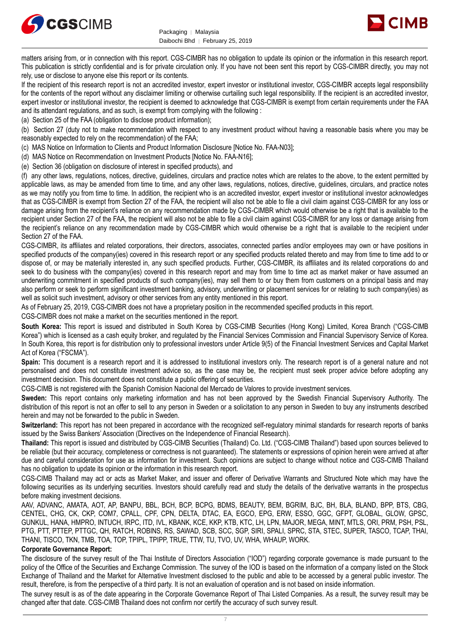



matters arising from, or in connection with this report. CGS-CIMBR has no obligation to update its opinion or the information in this research report. This publication is strictly confidential and is for private circulation only. If you have not been sent this report by CGS-CIMBR directly, you may not rely, use or disclose to anyone else this report or its contents.

If the recipient of this research report is not an accredited investor, expert investor or institutional investor, CGS-CIMBR accepts legal responsibility for the contents of the report without any disclaimer limiting or otherwise curtailing such legal responsibility. If the recipient is an accredited investor, expert investor or institutional investor, the recipient is deemed to acknowledge that CGS-CIMBR is exempt from certain requirements under the FAA and its attendant regulations, and as such, is exempt from complying with the following :

(a) Section 25 of the FAA (obligation to disclose product information);

(b) Section 27 (duty not to make recommendation with respect to any investment product without having a reasonable basis where you may be reasonably expected to rely on the recommendation) of the FAA;

(c) MAS Notice on Information to Clients and Product Information Disclosure [Notice No. FAA-N03];

(d) MAS Notice on Recommendation on Investment Products [Notice No. FAA-N16];

(e) Section 36 (obligation on disclosure of interest in specified products), and

(f) any other laws, regulations, notices, directive, guidelines, circulars and practice notes which are relates to the above, to the extent permitted by applicable laws, as may be amended from time to time, and any other laws, regulations, notices, directive, guidelines, circulars, and practice notes as we may notify you from time to time. In addition, the recipient who is an accredited investor, expert investor or institutional investor acknowledges that as CGS-CIMBR is exempt from Section 27 of the FAA, the recipient will also not be able to file a civil claim against CGS-CIMBR for any loss or damage arising from the recipient's reliance on any recommendation made by CGS-CIMBR which would otherwise be a right that is available to the recipient under Section 27 of the FAA, the recipient will also not be able to file a civil claim against CGS-CIMBR for any loss or damage arising from the recipient's reliance on any recommendation made by CGS-CIMBR which would otherwise be a right that is available to the recipient under Section 27 of the FAA.

CGS-CIMBR, its affiliates and related corporations, their directors, associates, connected parties and/or employees may own or have positions in specified products of the company(ies) covered in this research report or any specified products related thereto and may from time to time add to or dispose of, or may be materially interested in, any such specified products. Further, CGS-CIMBR, its affiliates and its related corporations do and seek to do business with the company(ies) covered in this research report and may from time to time act as market maker or have assumed an underwriting commitment in specified products of such company(ies), may sell them to or buy them from customers on a principal basis and may also perform or seek to perform significant investment banking, advisory, underwriting or placement services for or relating to such company(ies) as well as solicit such investment, advisory or other services from any entity mentioned in this report.

As of February 25, 2019, CGS-CIMBR does not have a proprietary position in the recommended specified products in this report.

CGS-CIMBR does not make a market on the securities mentioned in the report.

**South Korea:** This report is issued and distributed in South Korea by CGS-CIMB Securities (Hong Kong) Limited, Korea Branch ("CGS-CIMB Korea") which is licensed as a cash equity broker, and regulated by the Financial Services Commission and Financial Supervisory Service of Korea. In South Korea, this report is for distribution only to professional investors under Article 9(5) of the Financial Investment Services and Capital Market Act of Korea ("FSCMA").

**Spain:** This document is a research report and it is addressed to institutional investors only. The research report is of a general nature and not personalised and does not constitute investment advice so, as the case may be, the recipient must seek proper advice before adopting any investment decision. This document does not constitute a public offering of securities.

CGS-CIMB is not registered with the Spanish Comision Nacional del Mercado de Valores to provide investment services.

**Sweden:** This report contains only marketing information and has not been approved by the Swedish Financial Supervisory Authority. The distribution of this report is not an offer to sell to any person in Sweden or a solicitation to any person in Sweden to buy any instruments described herein and may not be forwarded to the public in Sweden.

Switzerland: This report has not been prepared in accordance with the recognized self-regulatory minimal standards for research reports of banks issued by the Swiss Bankers' Association (Directives on the Independence of Financial Research).

**Thailand:** This report is issued and distributed by CGS-CIMB Securities (Thailand) Co. Ltd. ("CGS-CIMB Thailand") based upon sources believed to be reliable (but their accuracy, completeness or correctness is not guaranteed). The statements or expressions of opinion herein were arrived at after due and careful consideration for use as information for investment. Such opinions are subject to change without notice and CGS-CIMB Thailand has no obligation to update its opinion or the information in this research report.

CGS-CIMB Thailand may act or acts as Market Maker, and issuer and offerer of Derivative Warrants and Structured Note which may have the following securities as its underlying securities. Investors should carefully read and study the details of the derivative warrants in the prospectus before making investment decisions.

AAV, ADVANC, AMATA, AOT, AP, BANPU, BBL, BCH, BCP, BCPG, BDMS, BEAUTY, BEM, BGRIM, BJC, BH, BLA, BLAND, BPP, BTS, CBG, CENTEL, CHG, CK, CKP, COM7, CPALL, CPF, CPN, DELTA, DTAC, EA, EGCO, EPG, ERW, ESSO, GGC, GFPT, GLOBAL, GLOW, GPSC, GUNKUL, HANA, HMPRO, INTUCH, IRPC, ITD, IVL, KBANK, KCE, KKP, KTB, KTC, LH, LPN, MAJOR, MEGA, MINT, MTLS, ORI, PRM, PSH, PSL, PTG, PTT, PTTEP, PTTGC, QH, RATCH, ROBINS, RS, SAWAD, SCB, SCC, SGP, SIRI, SPALI, SPRC, STA, STEC, SUPER, TASCO, TCAP, THAI, THANI, TISCO, TKN, TMB, TOA, TOP, TPIPL, TPIPP, TRUE, TTW, TU, TVO, UV, WHA, WHAUP, WORK.

# **Corporate Governance Report:**

The disclosure of the survey result of the Thai Institute of Directors Association ("IOD") regarding corporate governance is made pursuant to the policy of the Office of the Securities and Exchange Commission. The survey of the IOD is based on the information of a company listed on the Stock Exchange of Thailand and the Market for Alternative Investment disclosed to the public and able to be accessed by a general public investor. The result, therefore, is from the perspective of a third party. It is not an evaluation of operation and is not based on inside information.

The survey result is as of the date appearing in the Corporate Governance Report of Thai Listed Companies. As a result, the survey result may be changed after that date. CGS-CIMB Thailand does not confirm nor certify the accuracy of such survey result.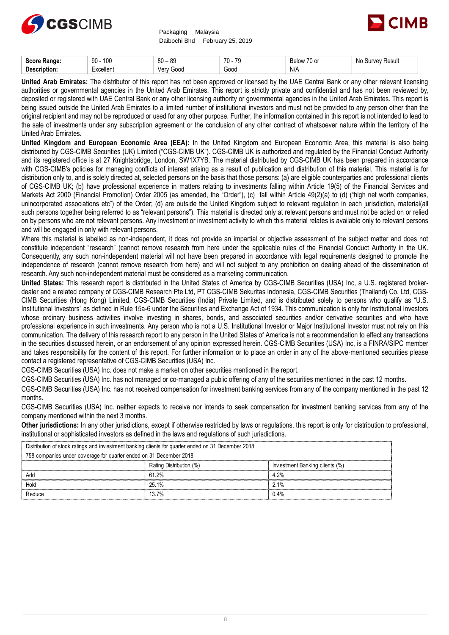



| :AAPA<br><b>Range:</b><br>ocor | 100<br>90 | 80<br>0C<br>ັບ     | 70<br>--<br>. . | $\overline{\phantom{a}}$<br>◡◠<br>$\sim$<br>ገነለ<br>DЕ<br>u u<br>., | Resul.<br><b>A</b><br>10101<br>oш<br>w. |
|--------------------------------|-----------|--------------------|-----------------|--------------------------------------------------------------------|-----------------------------------------|
| <b>Des</b><br>scription.       | xcellent: | oodذ<br><b>Ver</b> | Goog            | N/A                                                                |                                         |

**United Arab Emirates:** The distributor of this report has not been approved or licensed by the UAE Central Bank or any other relevant licensing authorities or governmental agencies in the United Arab Emirates. This report is strictly private and confidential and has not been reviewed by, deposited or registered with UAE Central Bank or any other licensing authority or governmental agencies in the United Arab Emirates. This report is being issued outside the United Arab Emirates to a limited number of institutional investors and must not be provided to any person other than the original recipient and may not be reproduced or used for any other purpose. Further, the information contained in this report is not intended to lead to the sale of investments under any subscription agreement or the conclusion of any other contract of whatsoever nature within the territory of the United Arab Emirates.

**United Kingdom and European Economic Area (EEA):** In the United Kingdom and European Economic Area, this material is also being distributed by CGS-CIMB Securities (UK) Limited ("CGS-CIMB UK"). CGS-CIMB UK is authorized and regulated by the Financial Conduct Authority and its registered office is at 27 Knightsbridge, London, SW1X7YB. The material distributed by CGS-CIMB UK has been prepared in accordance with CGS-CIMB's policies for managing conflicts of interest arising as a result of publication and distribution of this material. This material is for distribution only to, and is solely directed at, selected persons on the basis that those persons: (a) are eligible counterparties and professional clients of CGS-CIMB UK; (b) have professional experience in matters relating to investments falling within Article 19(5) of the Financial Services and Markets Act 2000 (Financial Promotion) Order 2005 (as amended, the "Order"), (c) fall within Article 49(2)(a) to (d) ("high net worth companies, unincorporated associations etc") of the Order; (d) are outside the United Kingdom subject to relevant regulation in each jurisdiction, material(all such persons together being referred to as "relevant persons"). This material is directed only at relevant persons and must not be acted on or relied on by persons who are not relevant persons. Any investment or investment activity to which this material relates is available only to relevant persons and will be engaged in only with relevant persons.

Where this material is labelled as non-independent, it does not provide an impartial or objective assessment of the subject matter and does not constitute independent "research" (cannot remove research from here under the applicable rules of the Financial Conduct Authority in the UK. Consequently, any such non-independent material will not have been prepared in accordance with legal requirements designed to promote the independence of research (cannot remove research from here) and will not subject to any prohibition on dealing ahead of the dissemination of research. Any such non-independent material must be considered as a marketing communication.

**United States:** This research report is distributed in the United States of America by CGS-CIMB Securities (USA) Inc, a U.S. registered brokerdealer and a related company of CGS-CIMB Research Pte Ltd, PT CGS-CIMB Sekuritas Indonesia, CGS-CIMB Securities (Thailand) Co. Ltd, CGS-CIMB Securities (Hong Kong) Limited, CGS-CIMB Securities (India) Private Limited, and is distributed solely to persons who qualify as "U.S. Institutional Investors" as defined in Rule 15a-6 under the Securities and Exchange Act of 1934. This communication is only for Institutional Investors whose ordinary business activities involve investing in shares, bonds, and associated securities and/or derivative securities and who have professional experience in such investments. Any person who is not a U.S. Institutional Investor or Major Institutional Investor must not rely on this communication. The delivery of this research report to any person in the United States of America is not a recommendation to effect any transactions in the securities discussed herein, or an endorsement of any opinion expressed herein. CGS-CIMB Securities (USA) Inc, is a FINRA/SIPC member and takes responsibility for the content of this report. For further information or to place an order in any of the above-mentioned securities please contact a registered representative of CGS-CIMB Securities (USA) Inc.

CGS-CIMB Securities (USA) Inc. does not make a market on other securities mentioned in the report.

CGS-CIMB Securities (USA) Inc. has not managed or co-managed a public offering of any of the securities mentioned in the past 12 months.

CGS-CIMB Securities (USA) Inc. has not received compensation for investment banking services from any of the company mentioned in the past 12 months.

CGS-CIMB Securities (USA) Inc. neither expects to receive nor intends to seek compensation for investment banking services from any of the company mentioned within the next 3 months.

**Other jurisdictions:** In any other jurisdictions, except if otherwise restricted by laws or regulations, this report is only for distribution to professional, institutional or sophisticated investors as defined in the laws and regulations of such jurisdictions. being the purisdictions: In any other jurisdictions, except if otherwise restricted by laws<br>stitutional or sophisticated investors as defined in the laws and regulations of such j<br>Distribution of stock ratings and investme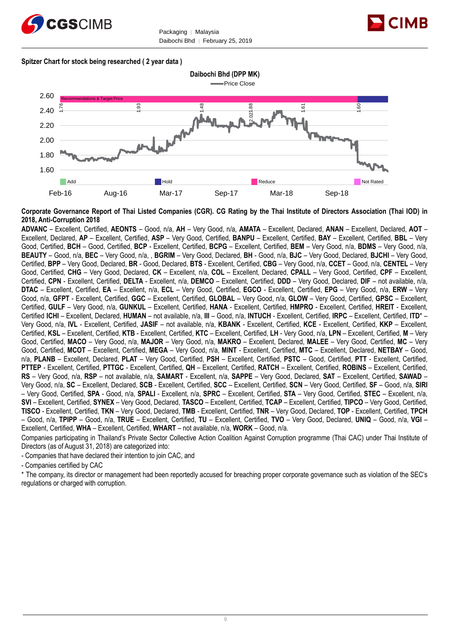



# **Spitzer Chart for stock being researched ( 2 year data )**



**Corporate Governance Report of Thai Listed Companies (CGR). CG Rating by the Thai Institute of Directors Association (Thai IOD) in 2018, Anti-Corruption 2018**

**ADVANC** – Excellent, Certified, **AEONTS** – Good, n/a, **AH** – Very Good, n/a, **AMATA** – Excellent, Declared, **ANAN** – Excellent, Declared, **AOT** – Excellent, Declared, **AP** – Excellent, Certified, **ASP** – Very Good, Certified, **BANPU** – Excellent, Certified, **BAY** – Excellent, Certified, **BBL** – Very Good, Certified, **BCH** – Good, Certified, **BCP** - Excellent, Certified, **BCPG** – Excellent, Certified, **BEM** – Very Good, n/a, **BDMS** – Very Good, n/a, **BEAUTY** – Good, n/a, **BEC** – Very Good, n/a, , **BGRIM** – Very Good, Declared, **BH** - Good, n/a, **BJC** – Very Good, Declared, **BJCHI** – Very Good, Certified, **BPP** – Very Good, Declared, **BR** - Good, Declared, **BTS** - Excellent, Certified, **CBG** – Very Good, n/a, **CCET** – Good, n/a, **CENTEL** – Very Good, Certified, **CHG** – Very Good, Declared, **CK** – Excellent, n/a, **COL** – Excellent, Declared, **CPALL** – Very Good, Certified, **CPF** – Excellent, Certified, **CPN** - Excellent, Certified, **DELTA** - Excellent, n/a, **DEMCO** – Excellent, Certified, **DDD** – Very Good, Declared, **DIF** – not available, n/a, **DTAC** – Excellent, Certified, **EA** – Excellent, n/a, **ECL** – Very Good, Certified, **EGCO** - Excellent, Certified, **EPG** – Very Good, n/a, **ERW** – Very Good, n/a, **GFPT** - Excellent, Certified, **GGC** – Excellent, Certified, **GLOBAL** – Very Good, n/a, **GLOW** – Very Good, Certified, **GPSC** – Excellent, Certified, **GULF** – Very Good, n/a, **GUNKUL** – Excellent, Certified, **HANA** - Excellent, Certified, **HMPRO** - Excellent, Certified, **HREIT** - Excellent, Certified **ICHI** – Excellent, Declared, **HUMAN** – not available, n/a, **III** – Good, n/a, **INTUCH** - Excellent, Certified, **IRPC** – Excellent, Certified, **ITD**\* – Very Good, n/a, **IVL** - Excellent, Certified, **JASIF** – not available, n/a, **KBANK** - Excellent, Certified, **KCE** - Excellent, Certified, **KKP** – Excellent, Certified, **KSL** – Excellent, Certified, **KTB** - Excellent, Certified, **KTC** – Excellent, Certified, **LH** - Very Good, n/a, **LPN** – Excellent, Certified, **M** – Very Good, Certified, **MACO** – Very Good, n/a, **MAJOR** – Very Good, n/a, **MAKRO** – Excellent, Declared, **MALEE** – Very Good, Certified, **MC** – Very Good, Certified, **MCOT** – Excellent, Certified, **MEGA** – Very Good, n/a, **MINT** - Excellent, Certified, **MTC** – Excellent, Declared, **NETBAY** – Good, n/a, **PLANB** – Excellent, Declared, **PLAT** – Very Good, Certified, **PSH** – Excellent, Certified, **PSTC** – Good, Certified, **PTT** - Excellent, Certified, **PTTEP** - Excellent, Certified, **PTTGC** - Excellent, Certified, **QH** – Excellent, Certified, **RATCH** – Excellent, Certified, **ROBINS** – Excellent, Certified, **RS** – Very Good, n/a, **RSP** – not available, n/a, **SAMART** - Excellent, n/a, **SAPPE** – Very Good, Declared, **SAT** – Excellent, Certified, **SAWAD** – Very Good, n/a, **SC** – Excellent, Declared, **SCB** - Excellent, Certified, **SCC** – Excellent, Certified, **SCN** – Very Good, Certified, **SF** – Good, n/a, **SIRI** – Very Good, Certified, **SPA** - Good, n/a, **SPALI** - Excellent, n/a, **SPRC** – Excellent, Certified, **STA** – Very Good, Certified, **STEC** – Excellent, n/a, **SVI** – Excellent, Certified, **SYNEX** – Very Good, Declared, **TASCO** – Excellent, Certified, **TCAP** – Excellent, Certified, **TIPCO** – Very Good, Certified, **TISCO** - Excellent, Certified, **TKN** – Very Good, Declared, **TMB** - Excellent, Certified, **TNR** – Very Good, Declared, **TOP** - Excellent, Certified, **TPCH** – Good, n/a, **TPIPP** – Good, n/a, **TRUE** – Excellent, Certified, **TU** – Excellent, Certified, **TVO** – Very Good, Declared, **UNIQ** – Good, n/a, **VGI** – Excellent, Certified, **WHA** – Excellent, Certified, **WHART** – not available, n/a, **WORK** – Good, n/a.

Companies participating in Thailand's Private Sector Collective Action Coalition Against Corruption programme (Thai CAC) under Thai Institute of Directors (as of August 31, 2018) are categorized into:

- Companies that have declared their intention to join CAC, and

- Companies certified by CAC

\* The company, its director or management had been reportedly accused for breaching proper corporate governance such as violation of the SEC's regulations or charged with corruption.